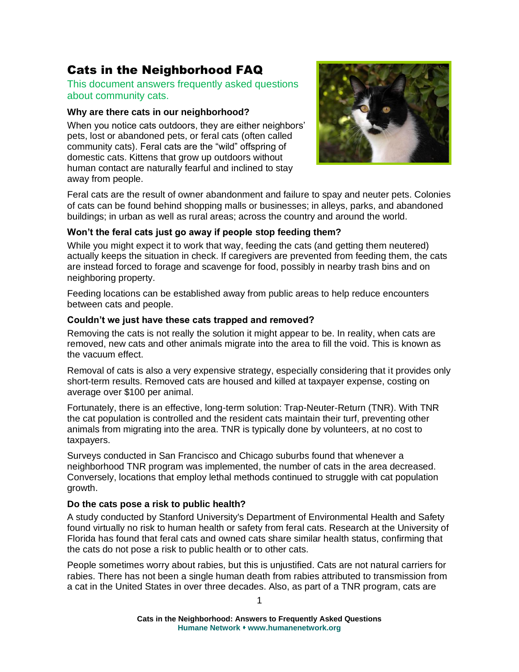# Cats in the Neighborhood FAQ

This document answers frequently asked questions about community cats.

## **Why are there cats in our neighborhood?**

When you notice cats outdoors, they are either neighbors' pets, lost or abandoned pets, or feral cats (often called community cats). Feral cats are the "wild" offspring of domestic cats. Kittens that grow up outdoors without human contact are naturally fearful and inclined to stay away from people.



Feral cats are the result of owner abandonment and failure to spay and neuter pets. Colonies of cats can be found behind shopping malls or businesses; in alleys, parks, and abandoned buildings; in urban as well as rural areas; across the country and around the world.

#### **Won't the feral cats just go away if people stop feeding them?**

While you might expect it to work that way, feeding the cats (and getting them neutered) actually keeps the situation in check. If caregivers are prevented from feeding them, the cats are instead forced to forage and scavenge for food, possibly in nearby trash bins and on neighboring property.

Feeding locations can be established away from public areas to help reduce encounters between cats and people.

#### **Couldn't we just have these cats trapped and removed?**

Removing the cats is not really the solution it might appear to be. In reality, when cats are removed, new cats and other animals migrate into the area to fill the void. This is known as the vacuum effect.

Removal of cats is also a very expensive strategy, especially considering that it provides only short-term results. Removed cats are housed and killed at taxpayer expense, costing on average over \$100 per animal.

Fortunately, there is an effective, long-term solution: Trap-Neuter-Return (TNR). With TNR the cat population is controlled and the resident cats maintain their turf, preventing other animals from migrating into the area. TNR is typically done by volunteers, at no cost to taxpayers.

Surveys conducted in San Francisco and Chicago suburbs found that whenever a neighborhood TNR program was implemented, the number of cats in the area decreased. Conversely, locations that employ lethal methods continued to struggle with cat population growth.

# **Do the cats pose a risk to public health?**

A study conducted by Stanford University's Department of Environmental Health and Safety found virtually no risk to human health or safety from feral cats. Research at the University of Florida has found that feral cats and owned cats share similar health status, confirming that the cats do not pose a risk to public health or to other cats.

People sometimes worry about rabies, but this is unjustified. Cats are not natural carriers for rabies. There has not been a single human death from rabies attributed to transmission from a cat in the United States in over three decades. Also, as part of a TNR program, cats are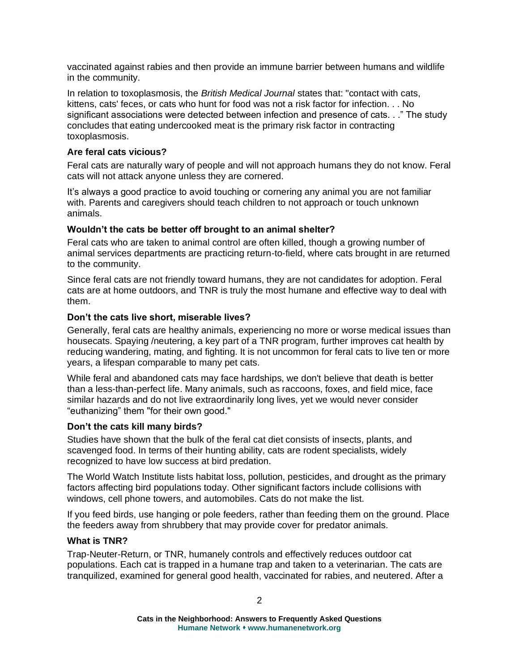vaccinated against rabies and then provide an immune barrier between humans and wildlife in the community.

In relation to toxoplasmosis, the *British Medical Journal* states that: "contact with cats, kittens, cats' feces, or cats who hunt for food was not a risk factor for infection. . . No significant associations were detected between infection and presence of cats. . ." The study concludes that eating undercooked meat is the primary risk factor in contracting toxoplasmosis.

## **Are feral cats vicious?**

Feral cats are naturally wary of people and will not approach humans they do not know. Feral cats will not attack anyone unless they are cornered.

It's always a good practice to avoid touching or cornering any animal you are not familiar with. Parents and caregivers should teach children to not approach or touch unknown animals.

#### **Wouldn't the cats be better off brought to an animal shelter?**

Feral cats who are taken to animal control are often killed, though a growing number of animal services departments are practicing return-to-field, where cats brought in are returned to the community.

Since feral cats are not friendly toward humans, they are not candidates for adoption. Feral cats are at home outdoors, and TNR is truly the most humane and effective way to deal with them.

#### **Don't the cats live short, miserable lives?**

Generally, feral cats are healthy animals, experiencing no more or worse medical issues than housecats. Spaying /neutering, a key part of a TNR program, further improves cat health by reducing wandering, mating, and fighting. It is not uncommon for feral cats to live ten or more years, a lifespan comparable to many pet cats.

While feral and abandoned cats may face hardships, we don't believe that death is better than a less-than-perfect life. Many animals, such as raccoons, foxes, and field mice, face similar hazards and do not live extraordinarily long lives, yet we would never consider "euthanizing" them "for their own good."

#### **Don't the cats kill many birds?**

Studies have shown that the bulk of the feral cat diet consists of insects, plants, and scavenged food. In terms of their hunting ability, cats are rodent specialists, widely recognized to have low success at bird predation.

The World Watch Institute lists habitat loss, pollution, pesticides, and drought as the primary factors affecting bird populations today. Other significant factors include collisions with windows, cell phone towers, and automobiles. Cats do not make the list.

If you feed birds, use hanging or pole feeders, rather than feeding them on the ground. Place the feeders away from shrubbery that may provide cover for predator animals.

# **What is TNR?**

Trap-Neuter-Return, or TNR, humanely controls and effectively reduces outdoor cat populations. Each cat is trapped in a humane trap and taken to a veterinarian. The cats are tranquilized, examined for general good health, vaccinated for rabies, and neutered. After a